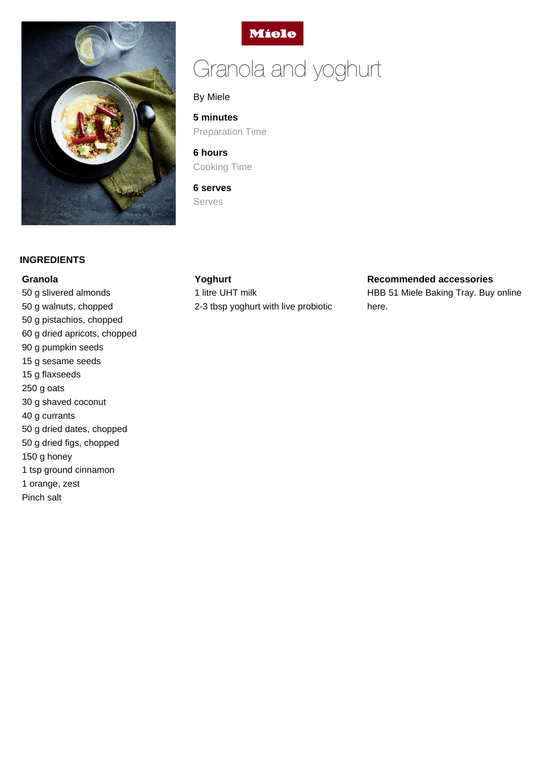

# **Miele**

# Granola and yoghurt

By Miele

**5 minutes** Preparation Time

**6 hours** Cooking Time

**6 serves** Serves

## **INGREDIENTS**

#### **Granola**

50 g slivered almonds 50 g walnuts, chopped 50 g pistachios, chopped 60 g dried apricots, chopped 90 g pumpkin seeds 15 g sesame seeds 15 g flaxseeds 250 g oats 30 g shaved coconut 40 g currants 50 g dried dates, chopped 50 g dried figs, chopped 150 g honey 1 tsp ground cinnamon 1 orange, zest Pinch salt

# **Yoghurt**

1 litre UHT milk 2-3 tbsp yoghurt with live probiotic

#### **Recommended accessories**

HBB 51 Miele Baking Tray. Buy online here.